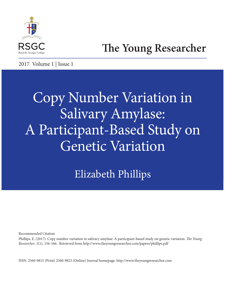

## **The Young Researcher**

2017 Volume 1 | Issue 1

# Copy Number Variation in Salivary Amylase: A Participant-Based Study on Genetic Variation

Elizabeth Phillips

Recommended Citation

Phillips, E. (2017). Copy number variation in salivary amylase: A participant-based study on genetic variation. T*e Young Researcher*, 1(1), 156-166. Retrieved from http://www.theyoungresearcher.com/papers/phillips.pdf

ISSN: 2560-9815 (Print) 2560-9823 (Online) Journal homepage: http://www.theyoungresearcher.com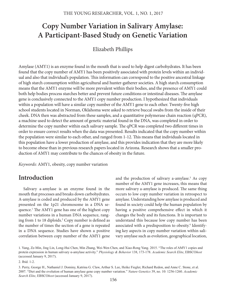## **Copy Number Variation in Salivary Amylase: A Participant-Based Study on Genetic Variation**

## Elizabeth Phillips

Amylase (AMY1) is an enzyme found in the mouth that is used to help digest carbohydrates. It has been found that the copy number of AMY1 has been positively associated with protein levels within an individual and also that individual's population. This information can correspond to the positive ancestral linkage of high starch consumption within agricultural and hunter-gatherer societies. A high starch consumption means that the AMY1 enzyme will be more prevalent within their bodies, and the presence of AMY1 could both help bodies process starches better and prevent future conditions or intestinal diseases. The amylase gene is conclusively connected to the AMY1 copy number production. I hypothesized that individuals within a population will have a similar copy number of the AMY1 gene to each other. Twenty-fve high school students located in Norman, Oklahoma were asked to retrieve buccal swabs from the inside of their cheek. DNA then was abstracted from these samples, and a quantitative polymerase chain reaction (qPCR), a machine used to detect the amount of genetic material found in the DNA, was completed in order to determine the copy number within each salivary sample. The qPCR was completed two different times in order to ensure correct results when the data was presented. Results indicated that the copy number within the population were similar to each other, and ranged from 1-12. This means that individuals located in this population have a lower production of amylase, and this provides indication that they are more likely to become obese than in previous research papers located in Arizona. Research shows that a smaller production of AMY1 may contribute to the chances of obesity in the future.

*Keywords:* AMY1, obesity, copy number variation

## **Introduction**

Salivary a-amylase is an enzyme found in the mouth that processes and breaks down carbohydrates. A-amylase is coded and produced by the AMY1 gene presented on the 1p21 chromosome in a DNA sequence.<sup>1</sup> The AMY1 gene has one of the highest copy number variations in a human DNA sequence, ranging from 1 to 18 diploids.<sup>2</sup> Copy number is defined as the number of times the section of a gene is repeated in a DNA sequence. Studies have shown a positive correlation between copy number of the AMY1 gene

and the production of salivary a-amylase.<sup>3</sup> As copy number of the AMY1 gene increases, this means that more salivary a-amylase is produced. The same thing occurs to low copy number variation in retrospect to amylase. Understanding how amylase is produced and found in society could help the human population by having a positive comprehensive efect in which it changes the body and its functions. It is important to understand this because low copy number has been associated with a predisposition to obesity.<sup>4</sup> Identifying key aspects in copy number variation within salivary amylase such as evolution, geographical location,

<sup>1.</sup> Yang, Ze-Min, Jing Lin, Long-Hui Chen, Min Zhang, Wei-Wen Chen, and Xiao-Rong Yang. 2015. "The roles of AMY1 copies and protein expression in human salivary α-amylase activity." *Physiology & Behavior* 138, 173-178. *Academic Search Elite*, EBSCO*host* (accessed January 9, 2017).

<sup>2.</sup> Ibid. 1-2.

<sup>3.</sup> Perry, George H., Nathaniel J. Dominy, Katrina G. Claw, Arthur S. Lee, Heike Fiegler, Richard Redon, and Anne C. Stone, et al. 2007. "Diet and the evolution of human amylase gene copy number variation." *Nature Genetics* 39, no. 10: 1256-1260. *Academic Search Elite*, EBSCO*host* (accessed January 9, 2017).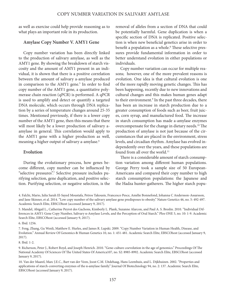as well as exercise could help provide reasoning as to what plays an important role in its production.

#### **Amylase Copy Number V. AMY1 Gene**

Copy number variation has been directly linked to the production of salivary amylase, as well as the AMY1 gene. By showing the breakdown of starch viscosity and the amount of AMY1 present in an individual, it is shown that there is a positive correlation between the amount of salivary a-amylase produced in comparison to the AMY1 gene.<sup>5</sup> In order to find copy number of the AMY1 gene, a quantitative polymerase chain reaction (qPCR) is performed. A qPCR is used to amplify and detect or quantify a targeted DNA molecule, which occurs through DNA replication by a series of temperature changes around 25-35 times. Mentioned previously, if there is a lower copy number of the AMY1 gene, then this means that there will most likely be a lower production of salivary aamylase in general. This correlation would apply to the AMY1 gene with a higher production as well, meaning a higher output of salivary a-amylase.<sup>6</sup>

#### **Evolution**

During the evolutionary process, how genes become diferent, copy number can be infuenced by "selective pressures".7 Selective pressure includes purifying selection, gene duplication, and positive selection. Purifying selection, or negative selection, is the removal of alleles from a section of DNA that could be potentially harmful. Gene duplication is when a specifc section of DNA is replicated. Positive selection is when new benefcial genetics arise in order to benefit a population as a whole.<sup>8</sup> These selective pressures provide fundamental information in order to better understand evolution in either populations or individuals.

Copy number variation can occur for multiple reasons; however, one of the more prevalent reasons is evolution. One idea is that cultural evolution is one of the more rapidly moving genetic changes. This has been happening, recently due to new innovations and cultural changes and this makes human genes adapt to their environment.<sup>9</sup> In the past three decades, there has been an increase in starch production due to a greater consumption of foods such as beer, fruit juices, corn syrup, and manufactured food. The increase in starch consumption has made a-amylase enzymes overcompensate for the change in dietary needs.<sup>10</sup> The production of amylase is not just because of the circumstances that are placed in the environment, stress levels, and circadian rhythm. Amylase has evolved independently over the years, and these populations are found from all over the world.<sup>11</sup>

There is a considerable amount of starch consumption variation among diferent human populations. George Perry took a sample size of 50 European-Americans and compared their copy number to high starch consumption populations: the Japanese and the Hadza hunter-gatherers. The higher starch popu-

5. Mandel, Abigail L., Catherine Peyrot des Gachons, Kimberly L. Plank, Suzanne Alarcon, and Paul A. S. Breslin. 2010. "Individual Differences in AMY1 Gene Copy Number, Salivary α-Amylase Levels, and the Perception of Oral Starch." Plos ONE 5, no. 10: 1-9. Academic Search Elite, EBSCOhost (accessed January 9, 2017).

6. Ibid. 1256.

7. Feng, Zhang, Gu Wenli, Matthew E. Hurles, and James R. Lupski. 2009. "Copy Number Variation in Human Health, Disease, and Evolution." Annual Review Of Genomics & Human Genetics 10, no. 1: 451-481. Academic Search Elite, EBSCOhost (accessed January 9, 2017).

8. Ibid. 1-2.

10. Van der Maarel, Marc J.E.C., Bart van der Veen, Joost C.M. Uitdehaag, Hans Leemhuis, and L. Dijkhuizen. 2002. "Properties and applications of starch-converting enzymes of the α-amylase family." Journal Of Biotechnology 94, no. 2: 137. Academic Search Elite, EBSCOhost (accessed January 9, 2017).

<sup>4.</sup> Falchi, Mario, Julia Sarah El-Sayed Moustafa, Petros Takousis, Francesco Pesce, Amélie Bonnefond, Johanna C Andersson-Assarsson, and Jane Skinner, et al. 2014. "Low copy number of the salivary amylase gene predisposes to obesity." Nature Genetics 46, no. 5: 492-497. Academic Search Elite, EBSCOhost (accessed January 9, 2017).

<sup>9.</sup> Richerson, Peter J., Robert Boyd, and Joseph Henrich. 2010. "Gene-culture coevolution in the age of genomics." Proceedings Of The National Academy Of Sciences Of The United States Of America107, no. S2: 8985-8992. Academic Search Elite, EBSCOhost (accessed January 9, 2017).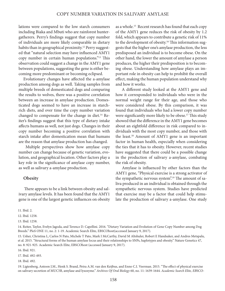lations were compared to the low starch consumers including Biaka and Mbuti who are rainforest huntergatherers. Perry's fndings suggest that copy number of individuals are more likely comparable in dietary habits than in geographical proximity.<sup>12</sup> Perry suggested that "natural selection may have infuenced AMY1 copy number in certain human populations."<sup>13</sup> This observation could suggest a change in the AMY1 gene between populations, suggesting the gene is either becoming more predominant or becoming eclipsed.

Evolutionary changes have afected the a-amylase production among dogs as well. Taking samples from multiple breeds of domesticated dogs and comparing the results to wolves, there was a positive correlation between an increase in amylase production. Domesticated dogs seemed to have an increase in starchrich diets, and over time the copy number variation changed to compensate for the change in diet.<sup>14</sup> Reiter's fndings suggest that this type of dietary intake afects humans as well, not just dogs. Changes in their copy number becoming a positive correlation with starch intake afer domestication mean that humans are the reason that amylase production has changed.

 Multiple perspectives show how amylase copy number can change because of genetic variation, evolution, and geographical location. Other factors play a key role in the signifcance of amylase copy number, as well as salivary a-amylase production.

#### **Obesity**

There appears to be a link between obesity and salivary amylase levels. It has been found that the AMY1 gene is one of the largest genetic infuences on obesity as a whole.<sup>15</sup> Recent research has found that each copy of the AMY1 gene reduces the risk of obesity by 1.2 fold, which appears to contribute a genetic risk of 11% to the development of obesity.<sup>16</sup> This information suggests that the higher one's amylase production, the less predisposed an individual is to become obese. On the other hand, the lower the amount of amylase a person produces, the higher their predisposition is to becoming obese. Understanding how amylase plays an important role in obesity can help to prohibit the overall efect, making the human population understand why and how it works.

 A diferent study looked at the AMY1 gene and how it corresponded to individuals who were in the normal weight range for their age, and those who were considered obese. By this comparison, it was found that individuals who had a lower copy number were significantly more likely to be obese.<sup>17</sup> This study showed that the diference in the AMY1 gene becomes about an eightfold diference in risk compared to individuals with the most copy number, and those with the least.18 Amount of AMY1 gene is an important factor in human health, especially when considering the ties that it has to obesity. However, recent studies have suggested that there could be a possible change in the production of salivary a-amylase, combating the risk of obesity.

 Amylase is infuenced by other factors than the AMY1 gene, "Physical exercise is a strong activator of the sympathetic nervous system".<sup>19</sup> The amount of saliva produced in an individual is obtained through the sympathetic nervous system. Studies have predicted that exercise may be a factor that could help stimulate the production of salivary a-amylase. One study

11. Ibid. 2.

12. Ibid. 1258.

13. Ibid. 1258.

16. Ibid. 921.

18. Ibid. 492.

19. Ligtenberg, Antoon J.M., Henk S. Brand, Petra A.M. van den Keijbus, and Enno C.I. Veerman. 2015. "The effect of physical exercise on salivary secretion of MUC5B, amylase and lysozyme." *Archives Of Oral Biology* 60, no. 11: 1639-1644. *Academic Search Elite, EB*SCO-

<sup>14.</sup> Reiter, Taylor, Evelyn Jagoda, and Terence D. Capellini. 2016. "Dietary Variation and Evolution of Gene Copy Number among Dog Breeds." PloS ONE 11, no. 2: 1-19. Academic Search Elite, EBSCOhost(accessed January 9, 2017).

<sup>15.</sup> Usher, Christina L, Carlos N Pato, Michele T Pato, Mark I McCarthy, David M Altshuler, Robert E Handsaker, and Andres Metspalu, et al. 2015. "Structural forms of the human amylase locus and their relationships to SNPs, haplotypes and obesity." Nature Genetics 47, no. 8: 921-925. Academic Search Elite, EBSCOhost (accessed January 9, 2017).

<sup>17.</sup> Ibid. 492-493.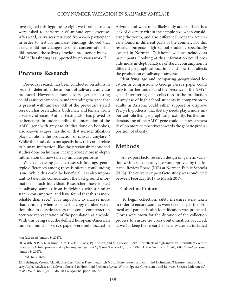investigated this hypothesis: eight well-trained males were asked to perform a 60-minute cycle exercise. Aferward, saliva was retrieved from each participant in order to test for amylase. Findings showed that exercise did not change the saliva concentration but did increase the salivary amylase production by fvefold.<sup>20</sup> This finding is supported by previous work.<sup>21</sup>

## **Previous Research**

Previous research has been conducted on adults in order to determine the amount of salivary a-amylase produced. However, a more diverse genetic testing could assist researchers in understanding the gene that is present with amylase. All of the previously stated research has been adults, both male and female, from a variety of races. Animal testing also has proved to be benefcial in understanding the interaction of the AMY1 gene with amylase. Studies done on bonobos, also known as apes, has shown that sex identifcation plays a role in the production of salivary amylase.<sup>22</sup> While this study does not specify how this could relate to human interaction, like the previously mentioned studies done on humans, it can provide more in-depth information on how salivary amylase performs.

When discussing genetic research fndings, genotypic differences among races is often a confounding issue. While this could be benefcial, it is also important to take into consideration the background information of each individual. Researchers have looked at salivary samples from individuals with a similar starch consumption, and have found that this is more reliable than race.<sup>23</sup> It is important to analyze more than ethnicity when considering copy number variation, due to outside factors that could counteract an accurate representation of the population as a whole. With this being said, the defned European-American samples found in Perry's paper were only located in Arizona and were most likely only adults. There is a lack of diversity within the sample size when considering the youth, and also diferent European- Americans found in diferent parts of the country. For this research purpose, high school students, specifcally located in Norman, Oklahoma will be included as participants. Looking at this information could provide more in-depth analysis of starch consumption in diferent geographical locations and how that afects the production of salivary a-amylase.

Identifying age and comparing geographical location in comparison to George Perry's paper could help to further understand the presence of the AMY1 gene. Interpreting data collection in the production of amylase of high school students in comparison to adults in Arizona could either support or disprove Perry's hypothesis, that dietary needs play a more important role than geographical proximity. Further understanding of the AMY1 gene could help researchers develop more perspectives towards the genetic predisposition of obesity.

## **Methods**

 An ex post facto research design on genetic variation within salivary amylase was approved by the Internal Review Board (IRB) at Norman Public Schools (NPS). The current ex post facto study was conducted between February 2017 to March 2017.

#### **Collection Protocol**

 To begin collection, safety measures were taken in order to ensure samples were taken as per the protocol and patient health identifcation was protected. Gloves were worn for the duration of the collection process to ensure no cross-contamination occurred, as well as keep the researcher safe. Materials included

*host* (accessed January 9, 2017).

<sup>20.</sup> Walsh, N.P., A.K. Blannin, A.M. Clark, L. Cook, P.J. Robson, and M. Gleeson. 1999. "Te efects of high-intensity intermittent exercise on saliva IgA, total protein and alpha-amylase." *Journal Of Sports Sciences* 17, no. 2: 129-134. *Academic Search Elite, EB*SCO*host* (accessed January 9, 2017).

<sup>21.</sup> Ibid. 1639-1640.

<sup>22.</sup> Behringer, Verena, Claudia Borchers, Tobias Deschner, Erich Möstl, Dieter Selzer, and Gottfried Hohmann. "Measurements of Salivary Alpha Amylase and Salivary Cortisol in Hominoid Primates Reveal Within-Species Consistency and Between-Species Diferences." *PLoS ONE* 8, no. 4 (2013). doi:10.1371/journal.pone.0060773.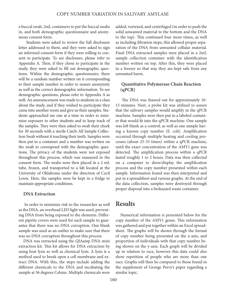a buccal swab, 2mL containers to put the buccal swabs in, and both demographic questionnaire and anonymous consent form.

 Students were asked to review the full disclosure letter addressed to them, and they were asked to sign an informed consent form if they were willing to consent to participate. To see disclosure, please refer to Appendix A. Then, if they chose to participate in the study, they were asked to fll out demographic questions. Within the demographic questionnaire, there will be a random number written on it corresponding to their sample number in order to ensure anonymity as well as the correct demographic information. To see demographic questions, please refer to Appendix A as well. An announcement was made to students in a class about the study, and if they wished to participate they came into another room and give us their samples. Students approached me one at a time in order to minimize exposure to other students and to keep track of the samples. They were then asked to swab their cheek for 30 seconds with a sterile Catch-All Sample Collection Swab without it touching their teeth. Samples were then put in a container and a number was written on the swab to correspond with the demographic questions. The privacy of the students were not exposed throughout this process, which was reassured in the consent form. The swabs were then placed in a 2 mL tube, frozen, and transported to a lab located at the University of Oklahoma under the direction of Cecil Lewis. Here, the samples were be kept in a fridge to maintain appropriate conditions.

#### **DNA Extraction**

 In order to minimize risk to the researcher as well as the DNA, an overhead LED light was used, preventing DNA from being exposed to the elements. Diferent pipette covers were used for each sample to guarantee that there was no DNA corruption. One blank sample was used as an outlier to make sure that there was no DNA corruption throughout this process.

DNA was extracted using the QIAamp DNA mini extraction kit. This kit allows for DNA extraction by using heat lysis as well as chemical lysis. A lysis is a method used to break open a cell membrane and extract DNA. With this, the steps include adding the diferent chemicals to the DNA and incubating the sample at 56 degrees Celsius. Multiple chemicals were added, vortexed, and centrifuged (in order to push the solid unwanted material to the bottom and the DNA to the top). This continued four more times, as well as including fltration steps, this allowed proper separation of the DNA from unwanted cellular material. Final DNA extracted samples were placed in a 2mL sample collection container with the identifcation number written on top. Afer this, they were placed in a freezer so that way they are kept safe from any unwanted harm.

#### **Quantitative Polymerase Chain Reaction (qPCR)**

The DNA was thawed out for approximately 10-15 minutes. Next, a probe kit was utilized to assure that the salivary samples would amplify in the qPCR machine. Samples were then put in a labeled container that would ft into the qPCR machine. One sample was left blank as a control, as well as one sample having a known copy number (E. coli). Amplifcation occurred through multiple heating and cooling processes (about 25-35 times) within a qPCR machine, until the exact concentration of the AMY1 gene was detected. The amplification process within a qPCR lasted roughly 1 to 2 hours. Data was then collected on a computer to show/display the amplifcation process and the copy number presented within each sample. Information found was then interpreted and put in a spreadsheet and various graphs. At the end of the data collection, samples were destroyed through proper disposal into a biohazard waste container.

## **Results**

Numerical information is presented below for the copy number of the AMY1 genes. This information was gathered and put together within an Excel spreadsheet. The graphs will be shown through the format of copy number being presented on the x-axis, and proportion of individuals with that copy number being shown on the y-axis. Each graph will be divided up in relation to race, however this data could also show repetition of people who are more than one race. Graphs will then be compared to those found in the supplement of George Perry's paper regarding a similar topic.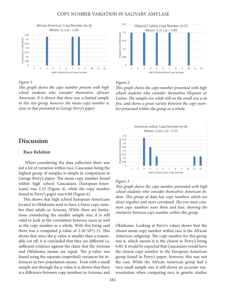

#### *Figure 1*

T*is graph shows the copy number present with high school students who consider themselves African American. It is shown that there was a limited sample in this test group, however the mean copy number is close to that presented in George Perry's paper.* 

## **Discussion**

#### **Race Relation**

 When considering the data collection there was not a lot of variation within race. Caucasian being the highest group of samples is simple in comparison to George Perry's paper. The mean copy number found within high school Caucasians (European-Americans) was 5.33 (Figure 4), while the copy number found in Perry's paper was 6.80 (Figure 6).

This shows that high school European-Americans located in Oklahoma tend to have a lower copy number than adults in Arizona. While there are limitations considering the smaller sample size, it is still valid to look at the correlation between races as well as the copy number as a whole. With this being said there was a computed p-value of  $2.26*10\land (-5)$ . This shows that since the p-value is smaller than a reasonable cut off, it is concluded that they are different i.e. sufficient evidence against the claim that the Arizona and Oklahoma means are equal. The p-value was found using the separate (unpooled) variances for inferences in two-population means. Even with a small sample size through the p-value it is shown that there is a diference between copy numbers in Arizona, and



#### *Figure 2*

T*is graph shows the copy number presented with high school students who consider themselves Hispanic or*  Latino. The sample size while still on the small size is at f*ve, and shows a great variety between the copy number presented within the group as a whole.* 



#### *Figure 3*

T*is graph shows the copy number presented with high school students who consider themselves American Indian.* T*is group of data has copy numbers which are*  closer together and more correlated. The two most com*mon copy numbers were three and four, showing the similarity between copy number within this group.* 

Oklahoma. Looking at Perry's values shows that the closest mean copy number within race is the African American subgroup. The copy number for this group was 6, which means it is the closest to Perry's being 6.80. It would be expected that Caucasians would have the closest copy number to the European-American group found in Perry's paper; however, this was not the case. While the African American group had a very small sample size it still shows an accurate representation when comparing race in genetic studies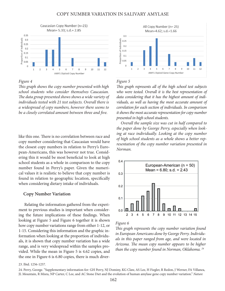

#### *Figure 4*

T*is graph shows the copy number presented with high school students who consider themselves Caucasian.*  T*e data group presented shows shows a wide variety of individuals tested with 21 test subjects. Overall there is a widespread of copy numbers, however there seems to be a closely correlated amount between three and* f*ve.* 

like this one. There is no correlation between race and copy number considering that Caucasian would have the closest copy numbers in relation to Perry's European-Americans, this was however not true. Considering this it would be most benefcial to look at high school students as a whole in comparison to the copy number found in Perry's paper. Given the numerical values it is realistic to believe that copy number is found in relation to geographic location, specifcally when considering dietary intake of individuals.

#### **Copy Number Variation**

Relating the information gathered from the experiment to previous studies is important when considering the future implications of these fndings. When looking at Figure 5 and Figure 6 together it is shown how copy number variations range from either 1-12, or 1-15. Considering this information and the graphic information when looking at the proportion of individuals, it is shown that copy number variation has a wide range, and is very widespread within the samples provided. While the mean in Figure 5 is 4.62 copies, and the one in Figure 6 is 6.80 copies, there is much diver-



#### *Figure 5*

T*is graph represents all of the high school test subjects who were tested. Overall it is the best representation of data considering that it has the highest amount of individuals, as well as having the most accurate amount of correlation for each section of individuals. In comparison it shows the most accurate representation for copy number presented in high school students.*

*Overall the sample size was cut in half compared to the paper done by George Perry, especially when looking at race individually. Looking at the copy number of high school students as a whole shows a better representation of the copy number variation presented in Norman.* 



#### *Figure 6*

T*is graph represents the copy number variation found in European Americans done by George Perry. Individuals in this paper ranged from age, and were located in Arizona.* T*e mean copy number appears to be higher than the copy number found in Norman, Oklahoma. 24*

23. Ibid. 1256-1257.

24. Perry, George. "Supplementary information for: GH Perry, NJ Dominy, KG Claw, AS Lee, H Fiegler, R Redon, J Werner, FA Villanea, JL Mountain, R Misra, NP Carter, C Lee, and AC Stone Diet and the evolution of human amylase gene copy number variation." *Nature*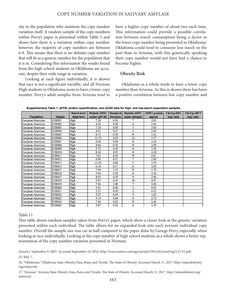sity in the population who maintain the copy number variation itself. A random sample of the copy numbers within Perry's paper is presented within Table 1 and shows how there is a variation within copy number, however, the majority of copy numbers are between 6-8. Tis means that there is no defnite copy number that will ft as a generic number for the population that it is in. Considering this information the results found from the high school students in Oklahoma are accurate, despite their wide range in variation.

 Looking at each fgure individually, it is shown that race is not a signifcant variable, and all Norman High students in Oklahoma seem to have a lower copy number. Perry's adult samples from Arizona tend to

have a higher copy number of about two each time. This information could provide a possible correlation between starch consumption being a factor in the lower copy number being presented in Oklahoma. Oklahoma could tend to consume less starch in the past than in Arizona, with this genetically speaking their copy number would not have had a chance to become higher.

#### **Obesity Risk**

 Oklahoma as a whole tends to have a lower copy number than Arizona. As this is shown there has been a positive correlation between low copy number and

|                   |               | <b>Starch level</b> | Diploid AMY1  | <b>Standard</b> | Diploid AMY1     | <b>AMY1</b> protein | $Chr1tp-6D2$           | $Chr1tp-30C7$          |
|-------------------|---------------|---------------------|---------------|-----------------|------------------|---------------------|------------------------|------------------------|
| <b>Population</b> | <b>Sample</b> | (high/low)          | copies (qPCR) | <b>Deviaion</b> | copies (integer) | mg/mL               | log <sub>2</sub> ratio | log <sub>2</sub> ratio |
| European-American | <b>EUR001</b> | High                | 7.30          | 0.50            |                  | 2.83                |                        |                        |
| European-American | <b>EUR002</b> | High                | 4.26          | 0.49            | 4                | 1.65                |                        |                        |
| European-American | <b>EUR003</b> | High                | 7.10          | 0.93            | 7                | 3.85                |                        |                        |
| European-American | <b>EUR004</b> | High                | 4.91          | 0.21            | 5                | 1.09                |                        |                        |
| European-American | <b>EUR005</b> | High                | 8.15          | 0.78            | 8                | 1.63                |                        |                        |
| European-American | <b>EUR006</b> | High                | 11.73         | 0.55            | 12               | 5.17                |                        |                        |
| European-American | <b>EUR007</b> | High                | 6.50          | 0.38            | 6                | 3.24                |                        |                        |
| European-American | <b>EUR008</b> | High                | 8.44          | 0.70            | 8                | 2.80                |                        |                        |
| European-American | <b>EUR009</b> | High                | 5.73          | 0.39            | 6                | 3.30                |                        |                        |
| European-American | <b>EUR010</b> | High                | 8.36          | 0.93            | 8                | 4.28                |                        |                        |
| European-American | <b>EUR011</b> | High                | 7.63          | 0.45            | 8                | 2.91                |                        |                        |
| European-American | <b>EUR012</b> | High                | 6.89          | 0.51            | 7                | 2.89                |                        |                        |
| European-American | <b>EUR013</b> | High                | 11.20         | 0.80            | 11               | 3.76                |                        |                        |
| European-American | <b>EUR014</b> | High                | 6.18          | 0.31            | 6                | 2.65                |                        |                        |
| European-American | <b>EUR015</b> | High                | 7.94          | 1.12            | 8                | 1.70                |                        |                        |
| European-American | <b>EUR016</b> | High                | 5.56          | 0.76            | 6                | 3.20                |                        |                        |
| European-American | <b>EUR017</b> | High                | 8.53          | 0.75            | 9                | 2.96                |                        |                        |
| European-American | <b>EUR018</b> | <b>High</b>         | 9.67          | 0.56            | 10               | 4.87                |                        |                        |
| European-American | <b>EUR019</b> | High                | 7.46          | 1.00            | 7                | 4.00                |                        |                        |
| European-American | <b>EUR020</b> | High                | 3.41          | 0.56            | 3                | 0.93                |                        |                        |
| European-American | <b>EUR021</b> | High                | 2.21          | 0.50            | 2                | 0.22                |                        |                        |
| European-American | <b>EUR022</b> | High                | 5.27          | 0.54            | 5                | 1.65                |                        |                        |
| European-American | <b>EUR023</b> | High                | 9.14          | 0.64            | 9                | 2.72                |                        |                        |
| European-American | <b>EUR024</b> | High                | 7.64          | 0.22            | 8                | 2.46                |                        |                        |
| European-American | <b>EUR025</b> | High                | 5.87          | 0.36            | 6                | 1.35                |                        |                        |

Supplementary Table 1. qPCR, protein quantification, and aCGH data for high- and low-starch population samples.

#### Table 11

This table shows random samples taken from Perry's paper, which show a closer look at the genetic variation presented within each individual. The table allows for an expanded look into each person's individual copy number. Overall the sample size was cut in half compared to the paper done by George Perry, especially when looking at race individually. Looking at the copy number of high school students as a whole shows a better representation of the copy number variation presented in Norman.

*Genetics*. September 9, 2007. Accessed September 18, 2016. http://www.nature.com/ng/journal/v39/n10/extref/ng2123-S1.pdf. 25. Ibid. 7.

26. "Oklahoma." Oklahoma State Obesity Data, Rates and Trends: The State of Obesity. Accessed March 11, 2017. http://stateofobesity. org/states/ok/.

27. "Arizona." Arizona State Obesity Data, Rates and Trends: The State of Obesity. Accessed March 11, 2017. http://stateofobesity.org/ states/az/.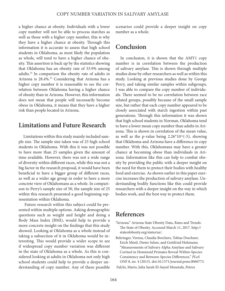a higher chance at obesity. Individuals with a lower copy number will not be able to process starches as well as those with a higher copy number, this is why they have a higher chance at obesity. Through this information it is accurate to assess that high school students in Oklahoma, as most likely the population as whole, will tend to have a higher chance of obesity. This assertion is back up by the statistics showing that Oklahoma has an obesity rate of 33.9% among adults.24 In comparison the obesity rate of adults in Arizona is 28.4%.<sup>25</sup> Considering that Arizona has a higher copy number it is reasonable to see the correlation between Oklahoma having a higher chance of obesity than in Arizona. However, this information does not mean that people will necessarily become obese in Oklahoma, it means that they have a higher risk than people located in Arizona.

## **Limitations and Future Research**

Limitations within this study mainly included sample size. The sample size taken was of 25 high school students in Oklahoma. With this it was not possible to have more than 25 samples given the amount of time available. However, there was not a wide range of diversity within diferent races, while this was not a big factor in the research proposal, it would have been benefcial to have a bigger group of diferent races, as well as a wider age group in order to have a more concrete view of Oklahomans as a whole. In comparison to Perry's sample size of 50, the sample size of 25 within this research presented a good beginning representation within Oklahoma.

 Future research within this subject could be presented within multiple options. Asking demographic questions such as weight and height and doing a Body Mass Index (BMI), would help to provide a more concrete insight on the fndings that this study showed. Looking at Oklahoma as a whole instead of taking a subsection of it in Oklahoma would be interesting. This would provide a wider scope to see if widespread copy number variation was diferent in the state of Oklahoma as a whole. As this is considered looking at adults in Oklahoma not only high school students could help to provide a deeper understanding of copy number. Any of these possible scenarios could provide a deeper insight on copy number as a whole.

## **Conclusion**

In conclusion, it is shown that the AMY1 copy number is in correlation between the production of salivary amylase. This is shown through multiple studies done by other researchers as well as within this study. Looking at previous studies done by George Perry, and taking similar samples within subgroups, I was able to compare the copy number of individuals. There seemed to be no correlation between race related groups, possibly because of the small sample size, but rather that each copy number appeared to be closely associated with starch ingestion within past generations. Through this information it was shown that high school students in Norman, Oklahoma tend to have a lower mean copy number than adults in Arizona. This is shown in correlation of the mean value, as well as the p-value being  $2.26*10\land(-5)$ , showing that Oklahoma and Arizona have a diference in copy number. With this, Oklahomans may have a greater chance at becoming obese than individuals in Arizona. Information like this can help to combat obesity by providing the public with a deeper insight on the need for them to protect their bodies with healthy food and exercise. As shown earlier in this paper exercise increases the production of salivary amylase. Understanding bodily functions like this could provide researchers with a deeper insight on the way in which bodies work, and the best way to protect them.

## **References**

- "Arizona." Arizona State Obesity Data, Rates and Trends: The State of Obesity. Accessed March 11, 2017. http:// stateofobesity.org/states/az/.
- Behringer, Verena, Claudia Borchers, Tobias Deschner, Erich Möstl, Dieter Selzer, and Gottfried Hohmann. "Measurements of Salivary Alpha Amylase and Salivary Cortisol in Hominoid Primates Reveal Within-Species Consistency and Between-Species Diferences." *PLoS ONE* 8, no. 4 (2013). doi:10.1371/journal.pone.0060773.
- Falchi, Mario, Julia Sarah El-Sayed Moustafa, Petros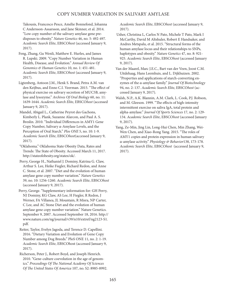Takousis, Francesco Pesce, Amélie Bonnefond, Johanna C Andersson-Assarsson, and Jane Skinner, et al. 2014. "Low copy number of the salivary amylase gene predisposes to obesity." *Nature Genetics* 46, no. 5: 492-497. *Academic Search Elite*, EBSCO*host* (accessed January 9, 2017).

- Feng, Zhang, Gu Wenli, Matthew E. Hurles, and James R. Lupski. 2009. "Copy Number Variation in Human Health, Disease, and Evolution." *Annual Review Of Genomics & Human Genetics* 10, no. 1: 451-481. *Academic Search Elite*, EBSCO*host* (accessed January 9, 2017).
- Ligtenberg, Antoon J.M., Henk S. Brand, Petra A.M. van den Keijbus, and Enno C.I. Veerman. 2015. "The effect of physical exercise on salivary secretion of MUC5B, amylase and lysozyme." *Archives Of Oral Biology* 60, no. 11: 1639-1644. *Academic Search Elite*, EBSCO*host* (accessed January 9, 2017).
- Mandel, Abigail L., Catherine Peyrot des Gachons, Kimberly L. Plank, Suzanne Alarcon, and Paul A. S. Breslin. 2010. "Individual Diferences in AMY1 Gene Copy Number, Salivary α-Amylase Levels, and the Perception of Oral Starch." *Plos ONE* 5, no. 10: 1-9. *Academic Search Elite*, EBSCO*host*(accessed January 9, 2017).
- "Oklahoma." Oklahoma State Obesity Data, Rates and Trends: The State of Obesity. Accessed March 11, 2017. http://stateofobesity.org/states/ok/.
- Perry, George H., Nathaniel J. Dominy, Katrina G. Claw, Arthur S. Lee, Heike Fiegler, Richard Redon, and Anne C. Stone, et al. 2007. "Diet and the evolution of human amylase gene copy number variation." *Nature Genetics* 39, no. 10: 1256-1260. *Academic Search Elite*, EBSCO*host* (accessed January 9, 2017).
- Perry, George. "Supplementary information for: GH Perry, NJ Dominy, KG Claw, AS Lee, H Fiegler, R Redon, J Werner, FA Villanea, JL Mountain, R Misra, NP Carter, C Lee, and AC Stone Diet and the evolution of human amylase gene copy number variation." Nature Genetics. September 9, 2007. Accessed September 18, 2016. http:// www.nature.com/ng/journal/v39/n10/extref/ng2123-S1. pdf.
- Reiter, Taylor, Evelyn Jagoda, and Terence D. Capellini. 2016. "Dietary Variation and Evolution of Gene Copy Number among Dog Breeds." PloS ONE 11, no. 2: 1-19. *Academic Search Elite*, EBSCOhost (accessed January 9, 2017).
- Richerson, Peter J., Robert Boyd, and Joseph Henrich. 2010. "Gene-culture coevolution in the age of genomics." Proceedings Of The National Academy Of Sciences *Of* T*e United States Of America* 107, no. S2: 8985-8992.

*Academic Search Elite*, EBSCO*host* (accessed January 9, 2017).

- Usher, Christina L, Carlos N Pato, Michele T Pato, Mark I McCarthy, David M Altshuler, Robert E Handsaker, and Andres Metspalu, et al. 2015. "Structural forms of the human amylase locus and their relationships to SNPs, haplotypes and obesity." *Nature Genetics* 47, no. 8: 921- 925. *Academic Search Elite*, EBSCO*host* (accessed January 9, 2017).
- Van der Maarel, Marc J.E.C., Bart van der Veen, Joost C.M. Uitdehaag, Hans Leemhuis, and L. Dijkhuizen. 2002. "Properties and applications of starch-converting enzymes of the α-amylase family." *Journal Of Biotechnology* 94, no. 2: 137. *Academic Search Elite*, EBSCO*host* (accessed January 9, 2017).
- Walsh, N.P., A.K. Blannin, A.M. Clark, L. Cook, P.J. Robson, and M. Gleeson. 1999. "The effects of high-intensity intermittent exercise on saliva IgA, total protein and alpha-amylase." *Journal Of Sports Sciences* 17, no. 2: 129- 134. *Academic Search Elite*, EBSCO*host* (accessed January 9, 2017).
- Yang, Ze-Min, Jing Lin, Long-Hui Chen, Min Zhang, Wei-Wen Chen, and Xiao-Rong Yang. 2015. "The roles of AMY1 copies and protein expression in human salivary α-amylase activity." *Physiology & Behavior*138, 173-178. *Academic Search Elite*, EBSCO*host* (accessed January 9, 2017).